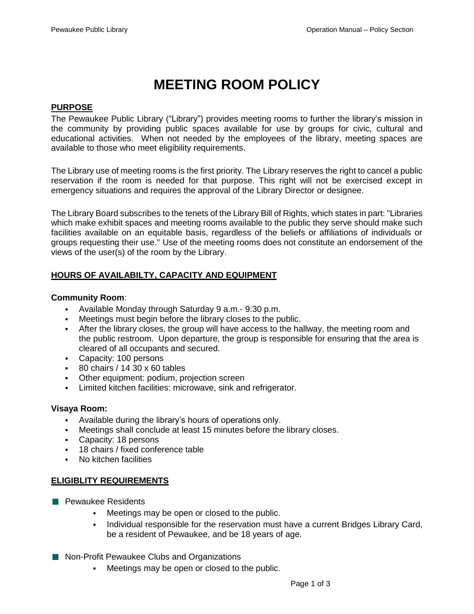# **MEETING ROOM POLICY**

## **PURPOSE**

The Pewaukee Public Library ("Library") provides meeting rooms to further the library's mission in the community by providing public spaces available for use by groups for civic, cultural and educational activities. When not needed by the employees of the library, meeting spaces are available to those who meet eligibility requirements.

The Library use of meeting rooms is the first priority. The Library reserves the right to cancel a public reservation if the room is needed for that purpose. This right will not be exercised except in emergency situations and requires the approval of the Library Director or designee.

The Library Board subscribes to the tenets of the Library Bill of Rights, which states in part: "Libraries which make exhibit spaces and meeting rooms available to the public they serve should make such facilities available on an equitable basis, regardless of the beliefs or affiliations of individuals or groups requesting their use." Use of the meeting rooms does not constitute an endorsement of the views of the user(s) of the room by the Library.

## **HOURS OF AVAILABILTY, CAPACITY AND EQUIPMENT**

## **Community Room**:

- Available Monday through Saturday 9 a.m.- 9:30 p.m.
- Meetings must begin before the library closes to the public.
- **EXECT:** After the library closes, the group will have access to the hallway, the meeting room and the public restroom. Upon departure, the group is responsible for ensuring that the area is cleared of all occupants and secured.
- Capacity: 100 persons
- $\overline{80}$  chairs / 14 30 x 60 tables
- **Other equipment: podium, projection screen**
- Limited kitchen facilities: microwave, sink and refrigerator.

#### **Visaya Room:**

- Available during the library's hours of operations only.
- Meetings shall conclude at least 15 minutes before the library closes.
- Capacity: 18 persons
- 18 chairs / fixed conference table
- No kitchen facilities

## **ELIGIBLITY REQUIREMENTS**

- **Pewaukee Residents** 
	- Meetings may be open or closed to the public.
	- Individual responsible for the reservation must have a current Bridges Library Card, be a resident of Pewaukee, and be 18 years of age.
- Non-Profit Pewaukee Clubs and Organizations
	- Meetings may be open or closed to the public.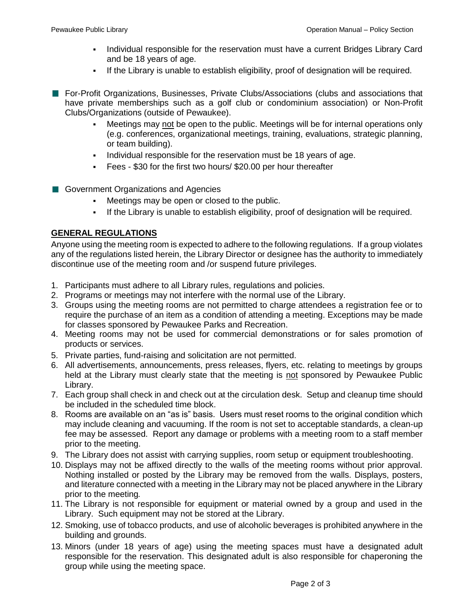- Individual responsible for the reservation must have a current Bridges Library Card and be 18 years of age.
- If the Library is unable to establish eligibility, proof of designation will be required.
- **For-Profit Organizations, Businesses, Private Clubs/Associations (clubs and associations that** have private memberships such as a golf club or condominium association) or Non-Profit Clubs/Organizations (outside of Pewaukee).
	- Meetings may not be open to the public. Meetings will be for internal operations only (e.g. conferences, organizational meetings, training, evaluations, strategic planning, or team building).
	- **•** Individual responsible for the reservation must be 18 years of age.
	- Fees \$30 for the first two hours/ \$20.00 per hour thereafter
- Government Organizations and Agencies
	- Meetings may be open or closed to the public.
	- If the Library is unable to establish eligibility, proof of designation will be required.

## **GENERAL REGULATIONS**

Anyone using the meeting room is expected to adhere to the following regulations. If a group violates any of the regulations listed herein, the Library Director or designee has the authority to immediately discontinue use of the meeting room and /or suspend future privileges.

- 1. Participants must adhere to all Library rules, regulations and policies.
- 2. Programs or meetings may not interfere with the normal use of the Library.
- 3. Groups using the meeting rooms are not permitted to charge attendees a registration fee or to require the purchase of an item as a condition of attending a meeting. Exceptions may be made for classes sponsored by Pewaukee Parks and Recreation.
- 4. Meeting rooms may not be used for commercial demonstrations or for sales promotion of products or services.
- 5. Private parties, fund-raising and solicitation are not permitted.
- 6. All advertisements, announcements, press releases, flyers, etc. relating to meetings by groups held at the Library must clearly state that the meeting is not sponsored by Pewaukee Public Library.
- 7. Each group shall check in and check out at the circulation desk. Setup and cleanup time should be included in the scheduled time block.
- 8. Rooms are available on an "as is" basis. Users must reset rooms to the original condition which may include cleaning and vacuuming. If the room is not set to acceptable standards, a clean-up fee may be assessed. Report any damage or problems with a meeting room to a staff member prior to the meeting.
- 9. The Library does not assist with carrying supplies, room setup or equipment troubleshooting.
- 10. Displays may not be affixed directly to the walls of the meeting rooms without prior approval. Nothing installed or posted by the Library may be removed from the walls. Displays, posters, and literature connected with a meeting in the Library may not be placed anywhere in the Library prior to the meeting*.*
- 11. The Library is not responsible for equipment or material owned by a group and used in the Library. Such equipment may not be stored at the Library.
- 12. Smoking, use of tobacco products, and use of alcoholic beverages is prohibited anywhere in the building and grounds.
- 13. Minors (under 18 years of age) using the meeting spaces must have a designated adult responsible for the reservation. This designated adult is also responsible for chaperoning the group while using the meeting space.